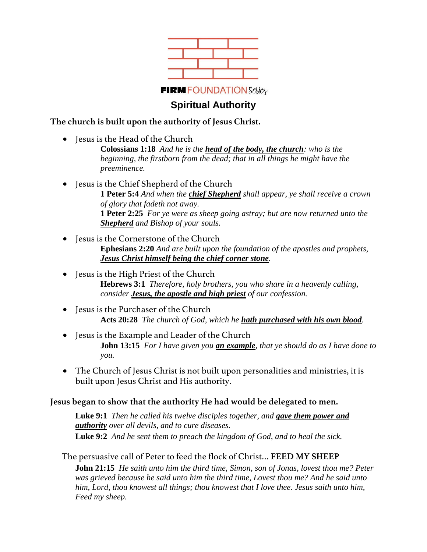

# **Spiritual Authority**

### **The church is built upon the authority of Jesus Christ.**

• Jesus is the Head of the Church

**Colossians 1:18** *And he is the head of the body, the church: who is the beginning, the firstborn from the dead; that in all things he might have the preeminence.*

- Jesus is the Chief Shepherd of the Church **1 Peter 5:4** *And when the chief Shepherd shall appear, ye shall receive a crown of glory that fadeth not away.* **1 Peter 2:25** *For ye were as sheep going astray; but are now returned unto the Shepherd and Bishop of your souls.*
- Jesus is the Cornerstone of the Church **Ephesians 2:20** *And are built upon the foundation of the apostles and prophets, Jesus Christ himself being the chief corner stone.*
- Jesus is the High Priest of the Church **Hebrews 3:1** *Therefore, holy brothers, you who share in a heavenly calling, consider Jesus, the apostle and high priest of our confession.*
- Jesus is the Purchaser of the Church **Acts 20:28** *The church of God, which he hath purchased with his own blood.*
- Jesus is the Example and Leader of the Church **John 13:15** *For I have given you an example, that ye should do as I have done to you.*
- The Church of Jesus Christ is not built upon personalities and ministries, it is built upon Jesus Christ and His authority.

**Jesus began to show that the authority He had would be delegated to men.** 

**Luke 9:1** *Then he called his twelve disciples together, and gave them power and authority over all devils, and to cure diseases.* **Luke 9:2** *And he sent them to preach the kingdom of God, and to heal the sick.*

The persuasive call of Peter to feed the flock of Christ… **FEED MY SHEEP**

**John 21:15** *He saith unto him the third time, Simon, son of Jonas, lovest thou me? Peter was grieved because he said unto him the third time, Lovest thou me? And he said unto him, Lord, thou knowest all things; thou knowest that I love thee. Jesus saith unto him, Feed my sheep.*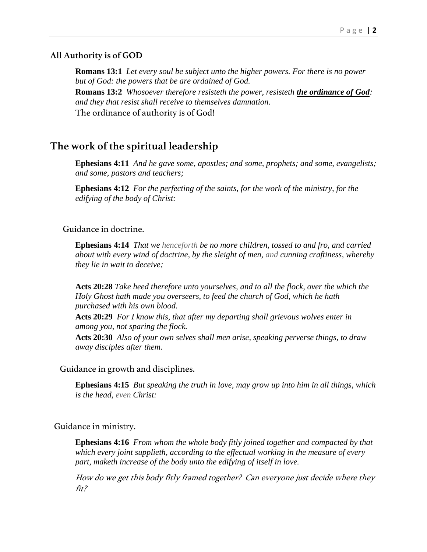#### **All Authority is of GOD**

**Romans 13:1** *Let every soul be subject unto the higher powers. For there is no power but of God: the powers that be are ordained of God.* **Romans 13:2** *Whosoever therefore resisteth the power, resisteth the ordinance of God: and they that resist shall receive to themselves damnation.* The ordinance of authority is of God!

## **The work of the spiritual leadership**

**Ephesians 4:11** *And he gave some, apostles; and some, prophets; and some, evangelists; and some, pastors and teachers;*

**Ephesians 4:12** *For the perfecting of the saints, for the work of the ministry, for the edifying of the body of Christ:*

#### Guidance in doctrine.

**Ephesians 4:14** *That we henceforth be no more children, tossed to and fro, and carried about with every wind of doctrine, by the sleight of men, and cunning craftiness, whereby they lie in wait to deceive;*

**Acts 20:28** *Take heed therefore unto yourselves, and to all the flock, over the which the Holy Ghost hath made you overseers, to feed the church of God, which he hath purchased with his own blood.*

**Acts 20:29** *For I know this, that after my departing shall grievous wolves enter in among you, not sparing the flock.*

**Acts 20:30** *Also of your own selves shall men arise, speaking perverse things, to draw away disciples after them.*

Guidance in growth and disciplines.

**Ephesians 4:15** *But speaking the truth in love, may grow up into him in all things, which is the head, even Christ:*

#### Guidance in ministry.

**Ephesians 4:16** *From whom the whole body fitly joined together and compacted by that which every joint supplieth, according to the effectual working in the measure of every part, maketh increase of the body unto the edifying of itself in love.*

How do we get this body fitly framed together? Can everyone just decide where they fit?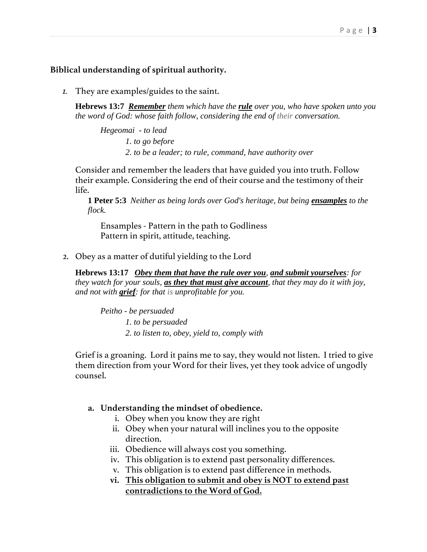#### **Biblical understanding of spiritual authority.**

*1.* They are examples/guides to the saint.

**Hebrews 13:7** *Remember them which have the rule over you, who have spoken unto you the word of God: whose faith follow, considering the end of their conversation.* 

*Hegeomai - to lead 1. to go before 2. to be a leader; to rule, command, have authority over*

Consider and remember the leaders that have guided you into truth. Follow their example. Considering the end of their course and the testimony of their life.

**1 Peter 5:3** *Neither as being lords over God's heritage, but being ensamples to the flock.* 

Ensamples - Pattern in the path to Godliness Pattern in spirit, attitude, teaching.

2. Obey as a matter of dutiful yielding to the Lord

**Hebrews 13:17** *Obey them that have the rule over you, and submit yourselves: for they watch for your souls, as they that must give account, that they may do it with joy, and not with grief: for that is unprofitable for you.* 

*Peitho - be persuaded 1. to be persuaded 2. to listen to, obey, yield to, comply with*

Grief is a groaning. Lord it pains me to say, they would not listen. I tried to give them direction from your Word for their lives, yet they took advice of ungodly counsel.

#### **a. Understanding the mindset of obedience.**

- i. Obey when you know they are right
- ii. Obey when your natural will inclines you to the opposite direction.
- iii. Obedience will always cost you something.
- iv. This obligation is to extend past personality differences.
- v. This obligation is to extend past difference in methods.
- **vi. This obligation to submit and obey is NOT to extend past contradictions to the Word of God.**